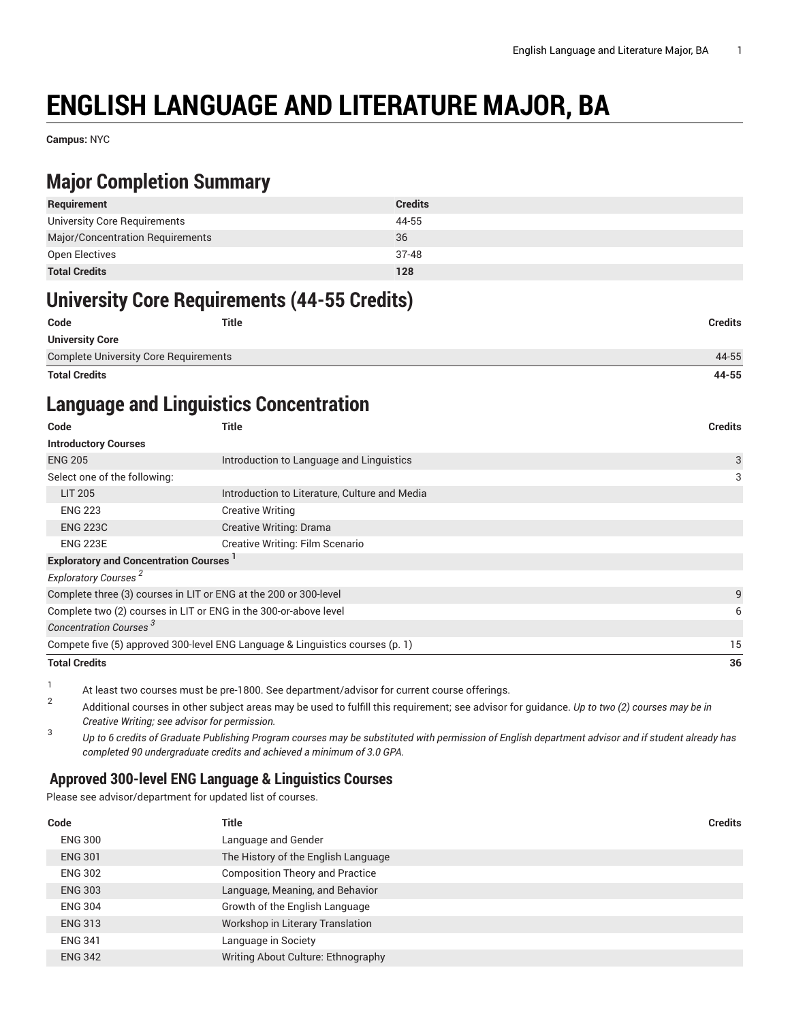# **ENGLISH LANGUAGE AND LITERATURE MAJOR, BA**

**Campus:** NYC

### **Major Completion Summary**

| Requirement                      | <b>Credits</b> |
|----------------------------------|----------------|
| University Core Requirements     | 44-55          |
| Major/Concentration Requirements | 36             |
| Open Electives                   | $37 - 48$      |
| <b>Total Credits</b>             | 128            |

#### **University Core Requirements (44-55 Credits)**

| Code                                         | <b>Title</b> | <b>Credits</b> |
|----------------------------------------------|--------------|----------------|
| <b>University Core</b>                       |              |                |
| <b>Complete University Core Requirements</b> |              | 44-55          |
| <b>Total Credits</b>                         |              | 44-55          |

#### **Language and Linguistics Concentration**

| Code                                                      | Title                                                                         | <b>Credits</b> |
|-----------------------------------------------------------|-------------------------------------------------------------------------------|----------------|
| <b>Introductory Courses</b>                               |                                                                               |                |
| <b>ENG 205</b>                                            | Introduction to Language and Linguistics                                      | 3              |
| Select one of the following:                              |                                                                               | 3              |
| <b>LIT 205</b>                                            | Introduction to Literature, Culture and Media                                 |                |
| <b>ENG 223</b>                                            | <b>Creative Writing</b>                                                       |                |
| <b>ENG 223C</b>                                           | Creative Writing: Drama                                                       |                |
| <b>ENG 223E</b>                                           | Creative Writing: Film Scenario                                               |                |
| <b>Exploratory and Concentration Courses</b> <sup>1</sup> |                                                                               |                |
| Exploratory Courses <sup>2</sup>                          |                                                                               |                |
|                                                           | Complete three (3) courses in LIT or ENG at the 200 or 300-level              | 9              |
|                                                           | Complete two (2) courses in LIT or ENG in the 300-or-above level              | 6              |
| Concentration Courses <sup>3</sup>                        |                                                                               |                |
|                                                           | Compete five (5) approved 300-level ENG Language & Linguistics courses (p. 1) | 15             |
| <b>Total Credits</b>                                      |                                                                               | 36             |

1 At least two courses must be pre-1800. See department/advisor for current course offerings.

2 Additional courses in other subject areas may be used to fulfill this requirement; see advisor for guidance. *Up to two (2) courses may be in Creative Writing; see advisor for permission.*

3 Up to 6 credits of Graduate Publishing Program courses may be substituted with permission of English department advisor and if student already has *completed 90 undergraduate credits and achieved a minimum of 3.0 GPA.*

#### <span id="page-0-0"></span>**Approved 300-level ENG Language & Linguistics Courses**

Please see advisor/department for updated list of courses.

| Code           | Title                                  | <b>Credits</b> |
|----------------|----------------------------------------|----------------|
| <b>ENG 300</b> | Language and Gender                    |                |
| <b>ENG 301</b> | The History of the English Language    |                |
| <b>ENG 302</b> | <b>Composition Theory and Practice</b> |                |
| <b>ENG 303</b> | Language, Meaning, and Behavior        |                |
| <b>ENG 304</b> | Growth of the English Language         |                |
| <b>ENG 313</b> | Workshop in Literary Translation       |                |
| <b>ENG 341</b> | Language in Society                    |                |
| <b>ENG 342</b> | Writing About Culture: Ethnography     |                |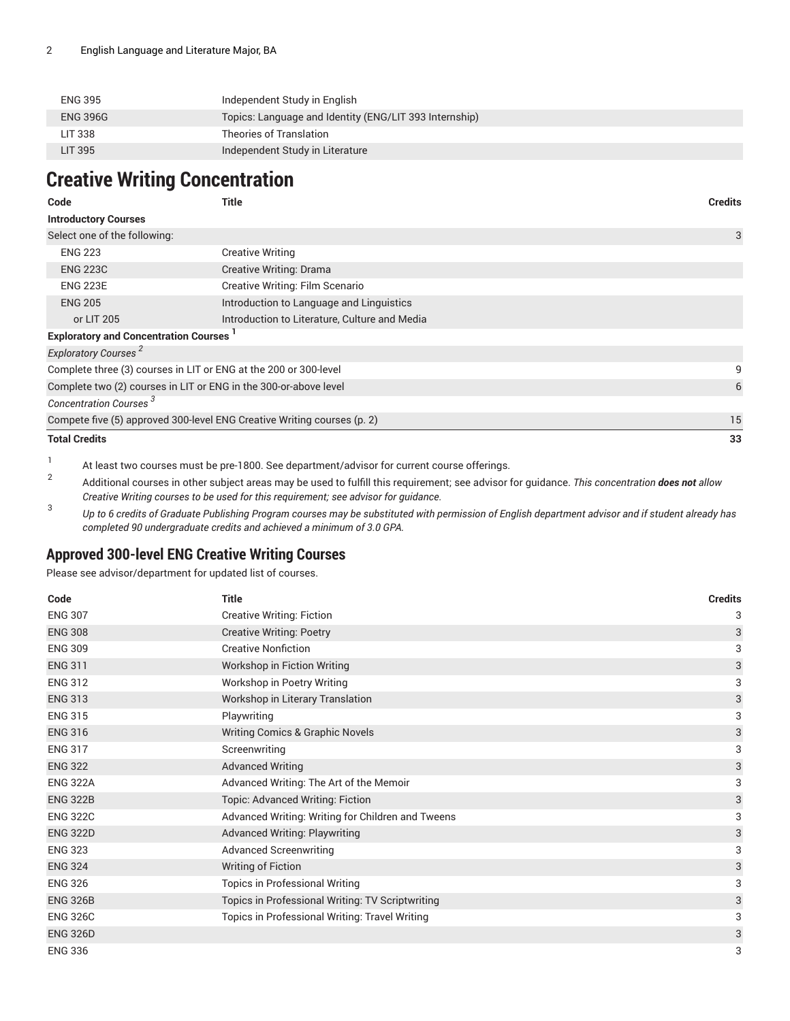| <b>ENG 395</b>  | Independent Study in English                           |
|-----------------|--------------------------------------------------------|
| <b>ENG 396G</b> | Topics: Language and Identity (ENG/LIT 393 Internship) |
| LIT 338         | Theories of Translation                                |
| LIT 395         | Independent Study in Literature                        |

### **Creative Writing Concentration**

| Code                                                             | <b>Title</b>                                                            | <b>Credits</b> |
|------------------------------------------------------------------|-------------------------------------------------------------------------|----------------|
| <b>Introductory Courses</b>                                      |                                                                         |                |
| Select one of the following:                                     |                                                                         | 3              |
| <b>ENG 223</b>                                                   | <b>Creative Writing</b>                                                 |                |
| <b>ENG 223C</b>                                                  | <b>Creative Writing: Drama</b>                                          |                |
| <b>ENG 223E</b>                                                  | Creative Writing: Film Scenario                                         |                |
| <b>ENG 205</b>                                                   | Introduction to Language and Linguistics                                |                |
| or LIT 205                                                       | Introduction to Literature, Culture and Media                           |                |
| <b>Exploratory and Concentration Courses</b>                     |                                                                         |                |
| Exploratory Courses <sup>2</sup>                                 |                                                                         |                |
| Complete three (3) courses in LIT or ENG at the 200 or 300-level |                                                                         | 9              |
| Complete two (2) courses in LIT or ENG in the 300-or-above level |                                                                         | 6              |
| Concentration Courses <sup>3</sup>                               |                                                                         |                |
|                                                                  | Compete five (5) approved 300-level ENG Creative Writing courses (p. 2) | 15             |
| <b>Total Credits</b>                                             |                                                                         | 33             |

1 At least two courses must be pre-1800. See department/advisor for current course offerings.

2 Additional courses in other subject areas may be used to fulfill this requirement; see advisor for guidance. *This concentration does not allow Creative Writing courses to be used for this requirement; see advisor for guidance.*

3 Up to 6 credits of Graduate Publishing Program courses may be substituted with permission of English department advisor and if student already has *completed 90 undergraduate credits and achieved a minimum of 3.0 GPA.*

#### <span id="page-1-0"></span>**Approved 300-level ENG Creative Writing Courses**

Please see advisor/department for updated list of courses.

| Code            | <b>Title</b>                                      | <b>Credits</b> |
|-----------------|---------------------------------------------------|----------------|
| <b>ENG 307</b>  | <b>Creative Writing: Fiction</b>                  | 3              |
| <b>ENG 308</b>  | <b>Creative Writing: Poetry</b>                   | 3              |
| <b>ENG 309</b>  | <b>Creative Nonfiction</b>                        | 3              |
| <b>ENG 311</b>  | Workshop in Fiction Writing                       | 3              |
| <b>ENG 312</b>  | Workshop in Poetry Writing                        | 3              |
| <b>ENG 313</b>  | Workshop in Literary Translation                  | 3              |
| <b>ENG 315</b>  | Playwriting                                       | 3              |
| <b>ENG 316</b>  | <b>Writing Comics &amp; Graphic Novels</b>        | 3              |
| <b>ENG 317</b>  | Screenwriting                                     | 3              |
| <b>ENG 322</b>  | <b>Advanced Writing</b>                           | 3              |
| <b>ENG 322A</b> | Advanced Writing: The Art of the Memoir           | 3              |
| <b>ENG 322B</b> | Topic: Advanced Writing: Fiction                  | 3              |
| <b>ENG 322C</b> | Advanced Writing: Writing for Children and Tweens | 3              |
| <b>ENG 322D</b> | <b>Advanced Writing: Playwriting</b>              | 3              |
| <b>ENG 323</b>  | <b>Advanced Screenwriting</b>                     | 3              |
| <b>ENG 324</b>  | <b>Writing of Fiction</b>                         | 3              |
| <b>ENG 326</b>  | <b>Topics in Professional Writing</b>             | 3              |
| <b>ENG 326B</b> | Topics in Professional Writing: TV Scriptwriting  | 3              |
| <b>ENG 326C</b> | Topics in Professional Writing: Travel Writing    | 3              |
| <b>ENG 326D</b> |                                                   | 3              |
| <b>ENG 336</b>  |                                                   | 3              |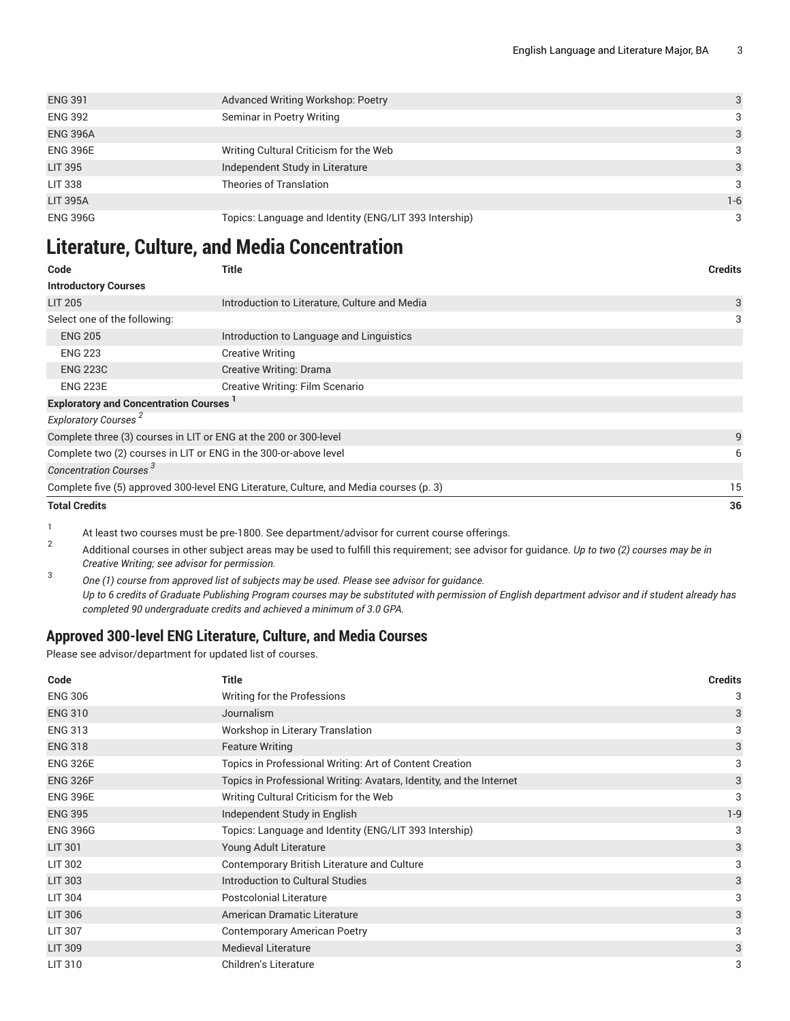| <b>ENG 391</b>  | Advanced Writing Workshop: Poetry                     | 3       |
|-----------------|-------------------------------------------------------|---------|
| <b>ENG 392</b>  | Seminar in Poetry Writing                             | 3       |
| <b>ENG 396A</b> |                                                       | 3       |
| <b>ENG 396E</b> | Writing Cultural Criticism for the Web                | 3       |
| <b>LIT 395</b>  | Independent Study in Literature                       | 3       |
| <b>LIT 338</b>  | <b>Theories of Translation</b>                        | 3       |
| <b>LIT 395A</b> |                                                       | $1 - 6$ |
| <b>ENG 396G</b> | Topics: Language and Identity (ENG/LIT 393 Intership) | 3       |

### **Literature, Culture, and Media Concentration**

| Code                                                             | Title                                                                                  | <b>Credits</b> |
|------------------------------------------------------------------|----------------------------------------------------------------------------------------|----------------|
| <b>Introductory Courses</b>                                      |                                                                                        |                |
| <b>LIT 205</b>                                                   | Introduction to Literature, Culture and Media                                          | 3              |
| Select one of the following:                                     |                                                                                        | 3              |
| <b>ENG 205</b>                                                   | Introduction to Language and Linguistics                                               |                |
| <b>ENG 223</b>                                                   | <b>Creative Writing</b>                                                                |                |
| <b>ENG 223C</b>                                                  | <b>Creative Writing: Drama</b>                                                         |                |
| <b>ENG 223E</b>                                                  | Creative Writing: Film Scenario                                                        |                |
| <b>Exploratory and Concentration Courses</b>                     |                                                                                        |                |
| Exploratory Courses <sup>2</sup>                                 |                                                                                        |                |
| Complete three (3) courses in LIT or ENG at the 200 or 300-level |                                                                                        | 9              |
| Complete two (2) courses in LIT or ENG in the 300-or-above level |                                                                                        | 6              |
| Concentration Courses <sup>3</sup>                               |                                                                                        |                |
|                                                                  | Complete five (5) approved 300-level ENG Literature, Culture, and Media courses (p. 3) | 15             |
| <b>Total Credits</b>                                             |                                                                                        | 36             |

- 1 At least two courses must be pre-1800. See department/advisor for current course offerings.
- 2 Additional courses in other subject areas may be used to fulfill this requirement; see advisor for guidance. *Up to two (2) courses may be in Creative Writing; see advisor for permission.*
- 3 *One (1) course from approved list of subjects may be used. Please see advisor for guidance.* Up to 6 credits of Graduate Publishing Program courses may be substituted with permission of English department advisor and if student already has *completed 90 undergraduate credits and achieved a minimum of 3.0 GPA.*

#### <span id="page-2-0"></span>**Approved 300-level ENG Literature, Culture, and Media Courses**

Please see advisor/department for updated list of courses.

| Code            | <b>Title</b>                                                        | <b>Credits</b> |
|-----------------|---------------------------------------------------------------------|----------------|
| <b>ENG 306</b>  | Writing for the Professions                                         | 3              |
| <b>ENG 310</b>  | Journalism                                                          | 3              |
| <b>ENG 313</b>  | Workshop in Literary Translation                                    | 3              |
| <b>ENG 318</b>  | <b>Feature Writing</b>                                              | 3              |
| <b>ENG 326E</b> | Topics in Professional Writing: Art of Content Creation             | 3              |
| <b>ENG 326F</b> | Topics in Professional Writing: Avatars, Identity, and the Internet | 3              |
| <b>ENG 396E</b> | Writing Cultural Criticism for the Web                              | 3              |
| <b>ENG 395</b>  | Independent Study in English                                        | $1-9$          |
| <b>ENG 396G</b> | Topics: Language and Identity (ENG/LIT 393 Intership)               | 3              |
| <b>LIT 301</b>  | Young Adult Literature                                              | 3              |
| <b>LIT 302</b>  | Contemporary British Literature and Culture                         | 3              |
| <b>LIT 303</b>  | Introduction to Cultural Studies                                    | 3              |
| <b>LIT 304</b>  | <b>Postcolonial Literature</b>                                      | 3              |
| <b>LIT 306</b>  | American Dramatic Literature                                        | 3              |
| LIT 307         | <b>Contemporary American Poetry</b>                                 | 3              |
| <b>LIT 309</b>  | <b>Medieval Literature</b>                                          | 3              |
| LIT 310         | <b>Children's Literature</b>                                        | 3              |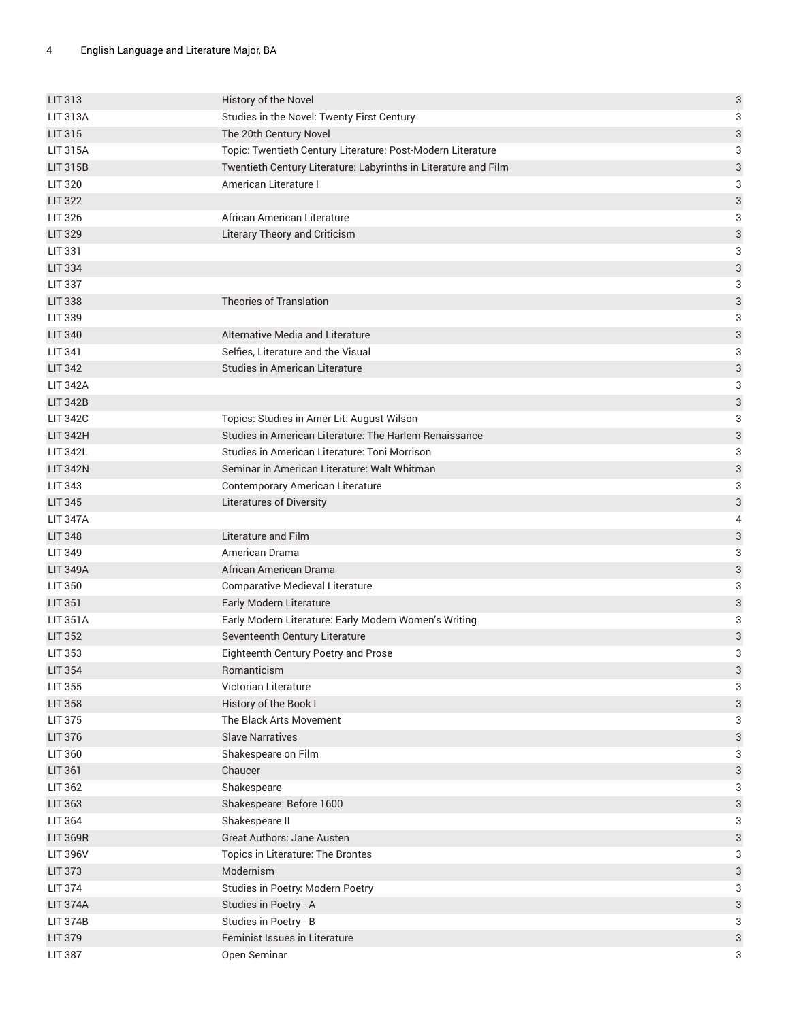| <b>LIT 313</b>  | History of the Novel                                            | 3                         |
|-----------------|-----------------------------------------------------------------|---------------------------|
| <b>LIT 313A</b> | Studies in the Novel: Twenty First Century                      | 3                         |
| <b>LIT 315</b>  | The 20th Century Novel                                          | 3                         |
| <b>LIT 315A</b> | Topic: Twentieth Century Literature: Post-Modern Literature     | 3                         |
| <b>LIT 315B</b> | Twentieth Century Literature: Labyrinths in Literature and Film | 3                         |
| <b>LIT 320</b>  | American Literature I                                           | 3                         |
| <b>LIT 322</b>  |                                                                 | 3                         |
| LIT 326         | African American Literature                                     | 3                         |
| <b>LIT 329</b>  | <b>Literary Theory and Criticism</b>                            | 3                         |
| <b>LIT 331</b>  |                                                                 | 3                         |
| <b>LIT 334</b>  |                                                                 | 3                         |
| <b>LIT 337</b>  |                                                                 | 3                         |
| <b>LIT 338</b>  | <b>Theories of Translation</b>                                  | 3                         |
| LIT 339         |                                                                 | 3                         |
| <b>LIT 340</b>  | Alternative Media and Literature                                | 3                         |
| LIT 341         | Selfies, Literature and the Visual                              | 3                         |
| <b>LIT 342</b>  | Studies in American Literature                                  | 3                         |
| <b>LIT 342A</b> |                                                                 | 3                         |
| <b>LIT 342B</b> |                                                                 | 3                         |
| <b>LIT 342C</b> | Topics: Studies in Amer Lit: August Wilson                      | 3                         |
| <b>LIT 342H</b> | Studies in American Literature: The Harlem Renaissance          | 3                         |
| <b>LIT 342L</b> | Studies in American Literature: Toni Morrison                   | 3                         |
| <b>LIT 342N</b> | Seminar in American Literature: Walt Whitman                    | 3                         |
| <b>LIT 343</b>  | Contemporary American Literature                                | 3                         |
| <b>LIT 345</b>  | <b>Literatures of Diversity</b>                                 | 3                         |
| <b>LIT 347A</b> |                                                                 | 4                         |
| <b>LIT 348</b>  | Literature and Film                                             | 3                         |
| LIT 349         | American Drama                                                  | 3                         |
| <b>LIT 349A</b> | African American Drama                                          | 3                         |
| LIT 350         | Comparative Medieval Literature                                 | 3                         |
| <b>LIT 351</b>  | Early Modern Literature                                         | 3                         |
| <b>LIT 351A</b> | Early Modern Literature: Early Modern Women's Writing           | 3                         |
| <b>LIT 352</b>  | Seventeenth Century Literature                                  | 3                         |
| LIT 353         | Eighteenth Century Poetry and Prose                             | 3                         |
| LIT 354         | Romanticism                                                     | 3                         |
| LIT 355         | Victorian Literature                                            | 3                         |
| <b>LIT 358</b>  | History of the Book I                                           | $\ensuremath{\mathsf{3}}$ |
| LIT 375         | The Black Arts Movement                                         | 3                         |
| <b>LIT 376</b>  | <b>Slave Narratives</b>                                         | $\ensuremath{\mathsf{3}}$ |
| LIT 360         | Shakespeare on Film                                             | 3                         |
| LIT 361         | Chaucer                                                         | $\ensuremath{\mathsf{3}}$ |
| LIT 362         | Shakespeare                                                     | 3                         |
| <b>LIT 363</b>  | Shakespeare: Before 1600                                        | $\ensuremath{\mathsf{3}}$ |
| LIT 364         | Shakespeare II                                                  | 3                         |
| <b>LIT 369R</b> | Great Authors: Jane Austen                                      | $\ensuremath{\mathsf{3}}$ |
| <b>LIT 396V</b> | Topics in Literature: The Brontes                               | 3                         |
| LIT 373         | Modernism                                                       | 3                         |
| <b>LIT 374</b>  | Studies in Poetry: Modern Poetry                                | 3                         |
| <b>LIT 374A</b> | Studies in Poetry - A                                           | 3                         |
| <b>LIT 374B</b> | Studies in Poetry - B                                           | 3                         |
| <b>LIT 379</b>  | Feminist Issues in Literature                                   | 3                         |
| <b>LIT 387</b>  | Open Seminar                                                    | 3                         |
|                 |                                                                 |                           |